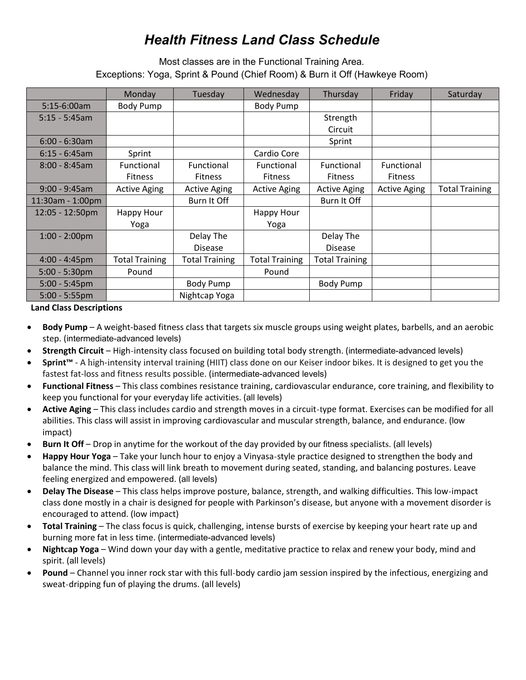## *Health Fitness Land Class Schedule*

Most classes are in the Functional Training Area*.*  Exceptions: Yoga, Sprint & Pound (Chief Room) & Burn it Off (Hawkeye Room)

|                  | Monday                | Tuesday               | Wednesday             | Thursday              | Friday              | Saturday              |
|------------------|-----------------------|-----------------------|-----------------------|-----------------------|---------------------|-----------------------|
| $5:15-6:00am$    | Body Pump             |                       | Body Pump             |                       |                     |                       |
| $5:15 - 5:45$ am |                       |                       |                       | Strength              |                     |                       |
|                  |                       |                       |                       | Circuit               |                     |                       |
| $6:00 - 6:30$ am |                       |                       |                       | Sprint                |                     |                       |
| $6:15 - 6:45am$  | Sprint                |                       | Cardio Core           |                       |                     |                       |
| $8:00 - 8:45am$  | Functional            | Functional            | Functional            | Functional            | Functional          |                       |
|                  | <b>Fitness</b>        | <b>Fitness</b>        | <b>Fitness</b>        | <b>Fitness</b>        | <b>Fitness</b>      |                       |
| $9:00 - 9:45am$  | <b>Active Aging</b>   | <b>Active Aging</b>   | <b>Active Aging</b>   | <b>Active Aging</b>   | <b>Active Aging</b> | <b>Total Training</b> |
| 11:30am - 1:00pm |                       | Burn It Off           |                       | Burn It Off           |                     |                       |
| 12:05 - 12:50pm  | Happy Hour            |                       | Happy Hour            |                       |                     |                       |
|                  | Yoga                  |                       | Yoga                  |                       |                     |                       |
| $1:00 - 2:00$ pm |                       | Delay The             |                       | Delay The             |                     |                       |
|                  |                       | <b>Disease</b>        |                       | <b>Disease</b>        |                     |                       |
| $4:00 - 4:45$ pm | <b>Total Training</b> | <b>Total Training</b> | <b>Total Training</b> | <b>Total Training</b> |                     |                       |
| $5:00 - 5:30$ pm | Pound                 |                       | Pound                 |                       |                     |                       |
| $5:00 - 5:45$ pm |                       | Body Pump             |                       | Body Pump             |                     |                       |
| $5:00 - 5:55$ pm |                       | Nightcap Yoga         |                       |                       |                     |                       |

**Land Class Descriptions**

- **Body Pump** A weight-based fitness class that targets six muscle groups using weight plates, barbells, and an aerobic step. (intermediate-advanced levels)
- **Strength Circuit** High-intensity class focused on building total body strength. (intermediate-advanced levels)
- **Sprint™** A high-intensity interval training (HIIT) class done on our Keiser indoor bikes. It is designed to get you the fastest fat-loss and fitness results possible. (intermediate-advanced levels)
- **Functional Fitness** This class combines resistance training, cardiovascular endurance, core training, and flexibility to keep you functional for your everyday life activities. (all levels)
- **Active Aging** This class includes cardio and strength moves in a circuit-type format. Exercises can be modified for all abilities. This class will assist in improving cardiovascular and muscular strength, balance, and endurance. (low impact)
- **Burn It Off** Drop in anytime for the workout of the day provided by our fitness specialists. (all levels)
- **Happy Hour Yoga** Take your lunch hour to enjoy a Vinyasa-style practice designed to strengthen the body and balance the mind. This class will link breath to movement during seated, standing, and balancing postures. Leave feeling energized and empowered. (all levels)
- **Delay The Disease** This class helps improve posture, balance, strength, and walking difficulties. This low-impact class done mostly in a chair is designed for people with Parkinson's disease, but anyone with a movement disorder is encouraged to attend. (low impact)
- **Total Training** The class focus is quick, challenging, intense bursts of exercise by keeping your heart rate up and burning more fat in less time. (intermediate-advanced levels)
- **Nightcap Yoga** Wind down your day with a gentle, meditative practice to relax and renew your body, mind and spirit. (all levels)
- **Pound** Channel you inner rock star with this full-body cardio jam session inspired by the infectious, energizing and sweat-dripping fun of playing the drums. (all levels)